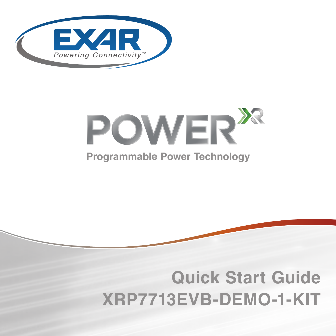



#### **Programmable Power Technology**



## **Quick Start Guide XRP7713EVB-DEMO-1-KIT**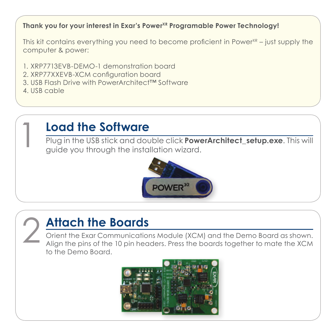#### **Thank you for your interest in Exar's PowerXR Programable Power Technology!**

This kit contains everything you need to become proficient in Power $X<sup>R</sup>$  – just supply the computer & power:

- 1. XRP7713EVB-DEMO-1 demonstration board
- 2. XRP77XXEVB-XCM configuration board
- 3. USB Flash Drive with PowerArchitect™ Software
- 4. USB cable

#### 1 **Load the Software**

Plug in the USB stick and double click **PowerArchitect\_setup.exe**. This will guide you through the installation wizard.



### 2 **Attach the Boards**

Orient the Exar Communications Module (XCM) and the Demo Board as shown. Align the pins of the 10 pin headers. Press the boards together to mate the XCM to the Demo Board.

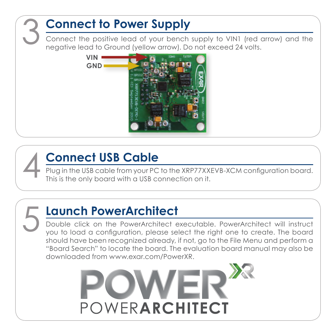# 3 **Connect to Power Supply** Connect the positive lead of your bench supply to VIN1 (red arrow) and the negative lead to Ground (yellow arrow). Do not exceed 24 volts. **VIN GND**

## 4 **Connect USB Cable**

Plug in the USB cable from your PC to the XRP77XXEVB-XCM configuration board. This is the only board with a USB connection on it.

### 5 **Launch PowerArchitect**

Double click on the PowerArchitect executable. PowerArchitect will instruct you to load a configuration, please select the right one to create. The board should have been recognized already, if not, go to the File Menu and perform a "Board Search" to locate the board. The evaluation board manual may also be downloaded from www.exar.com/PowerXR.